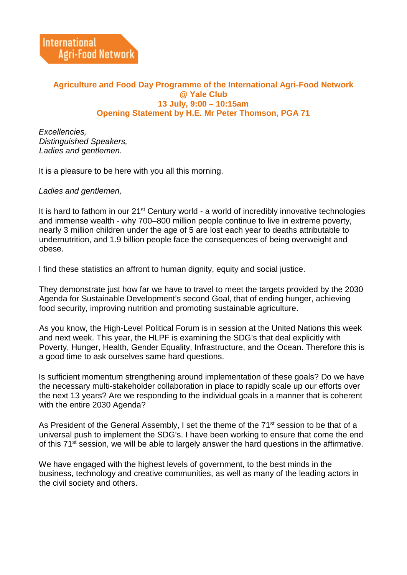## **Agriculture and Food Day Programme of the International Agri-Food Network @ Yale Club 13 July, 9:00 – 10:15am Opening Statement by H.E. Mr Peter Thomson, PGA 71**

*Excellencies, Distinguished Speakers, Ladies and gentlemen.*

It is a pleasure to be here with you all this morning.

*Ladies and gentlemen,*

It is hard to fathom in our 21<sup>st</sup> Century world - a world of incredibly innovative technologies and immense wealth - why 700–800 million people continue to live in extreme poverty, nearly 3 million children under the age of 5 are lost each year to deaths attributable to undernutrition, and 1.9 billion people face the consequences of being overweight and obese.

I find these statistics an affront to human dignity, equity and social justice.

They demonstrate just how far we have to travel to meet the targets provided by the 2030 Agenda for Sustainable Development's second Goal, that of ending hunger, achieving food security, improving nutrition and promoting sustainable agriculture.

As you know, the High-Level Political Forum is in session at the United Nations this week and next week. This year, the HLPF is examining the SDG's that deal explicitly with Poverty, Hunger, Health, Gender Equality, Infrastructure, and the Ocean. Therefore this is a good time to ask ourselves same hard questions.

Is sufficient momentum strengthening around implementation of these goals? Do we have the necessary multi-stakeholder collaboration in place to rapidly scale up our efforts over the next 13 years? Are we responding to the individual goals in a manner that is coherent with the entire 2030 Agenda?

As President of the General Assembly, I set the theme of the 71<sup>st</sup> session to be that of a universal push to implement the SDG's. I have been working to ensure that come the end of this 71<sup>st</sup> session, we will be able to largely answer the hard questions in the affirmative.

We have engaged with the highest levels of government, to the best minds in the business, technology and creative communities, as well as many of the leading actors in the civil society and others.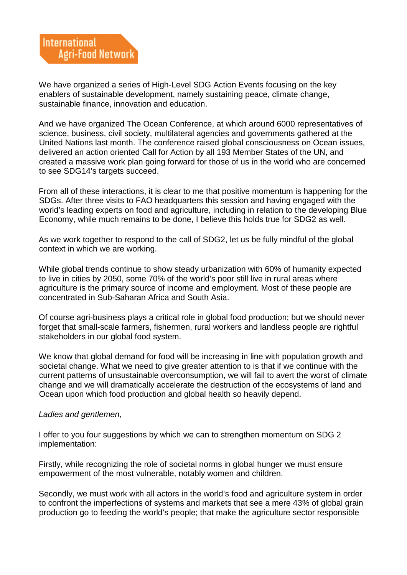We have organized a series of High-Level SDG Action Events focusing on the key enablers of sustainable development, namely sustaining peace, climate change, sustainable finance, innovation and education.

And we have organized The Ocean Conference, at which around 6000 representatives of science, business, civil society, multilateral agencies and governments gathered at the United Nations last month. The conference raised global consciousness on Ocean issues, delivered an action oriented Call for Action by all 193 Member States of the UN, and created a massive work plan going forward for those of us in the world who are concerned to see SDG14's targets succeed.

From all of these interactions, it is clear to me that positive momentum is happening for the SDGs. After three visits to FAO headquarters this session and having engaged with the world's leading experts on food and agriculture, including in relation to the developing Blue Economy, while much remains to be done, I believe this holds true for SDG2 as well.

As we work together to respond to the call of SDG2, let us be fully mindful of the global context in which we are working.

While global trends continue to show steady urbanization with 60% of humanity expected to live in cities by 2050, some 70% of the world's poor still live in rural areas where agriculture is the primary source of income and employment. Most of these people are concentrated in Sub-Saharan Africa and South Asia.

Of course agri-business plays a critical role in global food production; but we should never forget that small-scale farmers, fishermen, rural workers and landless people are rightful stakeholders in our global food system.

We know that global demand for food will be increasing in line with population growth and societal change. What we need to give greater attention to is that if we continue with the current patterns of unsustainable overconsumption, we will fail to avert the worst of climate change and we will dramatically accelerate the destruction of the ecosystems of land and Ocean upon which food production and global health so heavily depend.

## *Ladies and gentlemen,*

I offer to you four suggestions by which we can to strengthen momentum on SDG 2 implementation:

Firstly, while recognizing the role of societal norms in global hunger we must ensure empowerment of the most vulnerable, notably women and children.

Secondly, we must work with all actors in the world's food and agriculture system in order to confront the imperfections of systems and markets that see a mere 43% of global grain production go to feeding the world's people; that make the agriculture sector responsible